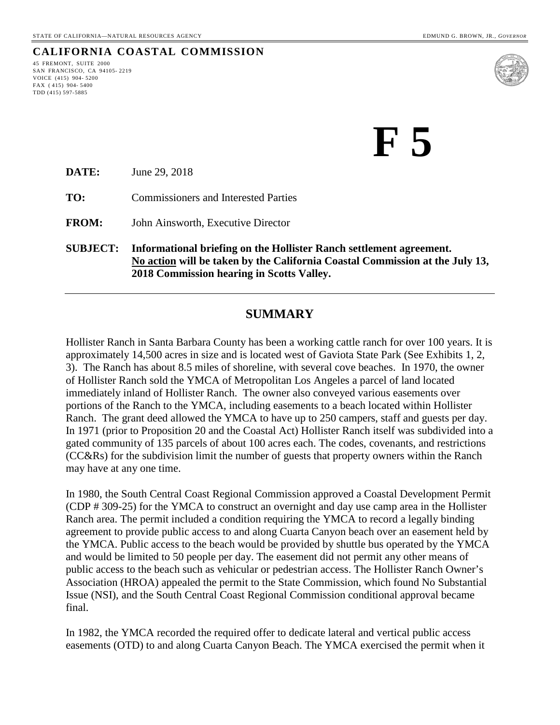#### **CALIFORNIA COASTAL COMMISSION**

45 FREMONT, SUITE 2000 SAN FRANCISCO, CA 94105- 2219 VOICE (415) 904- 5200 FAX ( 415) 904- 5400 TDD (415) 597-5885



 **F 5** 

**DATE:** June 29, 2018

**TO:** Commissioners and Interested Parties

**FROM:** John Ainsworth, Executive Director

**SUBJECT: Informational briefing on the Hollister Ranch settlement agreement. No action will be taken by the California Coastal Commission at the July 13, 2018 Commission hearing in Scotts Valley.**

#### **SUMMARY**

Hollister Ranch in Santa Barbara County has been a working cattle ranch for over 100 years. It is approximately 14,500 acres in size and is located west of Gaviota State Park (See Exhibits 1, 2, 3). The Ranch has about 8.5 miles of shoreline, with several cove beaches. In 1970, the owner of Hollister Ranch sold the YMCA of Metropolitan Los Angeles a parcel of land located immediately inland of Hollister Ranch. The owner also conveyed various easements over portions of the Ranch to the YMCA, including easements to a beach located within Hollister Ranch. The grant deed allowed the YMCA to have up to 250 campers, staff and guests per day. In 1971 (prior to Proposition 20 and the Coastal Act) Hollister Ranch itself was subdivided into a gated community of 135 parcels of about 100 acres each. The codes, covenants, and restrictions (CC&Rs) for the subdivision limit the number of guests that property owners within the Ranch may have at any one time.

In 1980, the South Central Coast Regional Commission approved a Coastal Development Permit (CDP # 309-25) for the YMCA to construct an overnight and day use camp area in the Hollister Ranch area. The permit included a condition requiring the YMCA to record a legally binding agreement to provide public access to and along Cuarta Canyon beach over an easement held by the YMCA. Public access to the beach would be provided by shuttle bus operated by the YMCA and would be limited to 50 people per day. The easement did not permit any other means of public access to the beach such as vehicular or pedestrian access. The Hollister Ranch Owner's Association (HROA) appealed the permit to the State Commission, which found No Substantial Issue (NSI), and the South Central Coast Regional Commission conditional approval became final.

In 1982, the YMCA recorded the required offer to dedicate lateral and vertical public access easements (OTD) to and along Cuarta Canyon Beach. The YMCA exercised the permit when it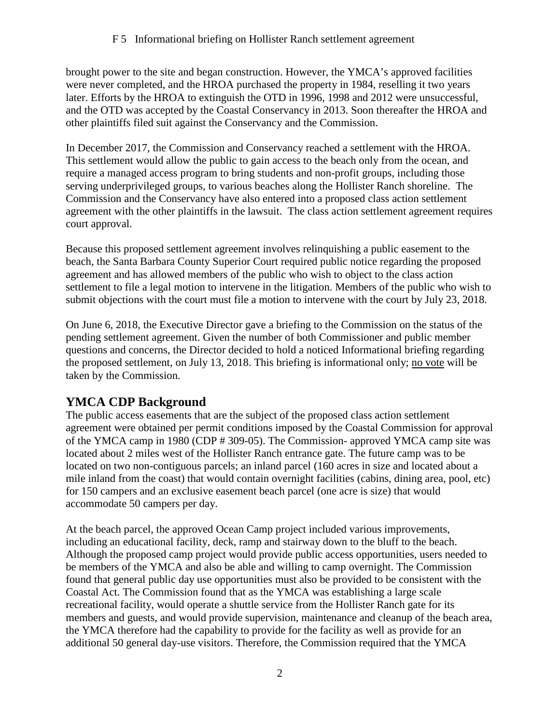brought power to the site and began construction. However, the YMCA's approved facilities were never completed, and the HROA purchased the property in 1984, reselling it two years later. Efforts by the HROA to extinguish the OTD in 1996, 1998 and 2012 were unsuccessful, and the OTD was accepted by the Coastal Conservancy in 2013. Soon thereafter the HROA and other plaintiffs filed suit against the Conservancy and the Commission.

In December 2017, the Commission and Conservancy reached a settlement with the HROA. This settlement would allow the public to gain access to the beach only from the ocean, and require a managed access program to bring students and non-profit groups, including those serving underprivileged groups, to various beaches along the Hollister Ranch shoreline. The Commission and the Conservancy have also entered into a proposed class action settlement agreement with the other plaintiffs in the lawsuit. The class action settlement agreement requires court approval.

Because this proposed settlement agreement involves relinquishing a public easement to the beach, the Santa Barbara County Superior Court required public notice regarding the proposed agreement and has allowed members of the public who wish to object to the class action settlement to file a legal motion to intervene in the litigation. Members of the public who wish to submit objections with the court must file a motion to intervene with the court by July 23, 2018.

On June 6, 2018, the Executive Director gave a briefing to the Commission on the status of the pending settlement agreement. Given the number of both Commissioner and public member questions and concerns, the Director decided to hold a noticed Informational briefing regarding the proposed settlement, on July 13, 2018. This briefing is informational only; no vote will be taken by the Commission.

## **YMCA CDP Background**

The public access easements that are the subject of the proposed class action settlement agreement were obtained per permit conditions imposed by the Coastal Commission for approval of the YMCA camp in 1980 (CDP # 309-05). The Commission- approved YMCA camp site was located about 2 miles west of the Hollister Ranch entrance gate. The future camp was to be located on two non-contiguous parcels; an inland parcel (160 acres in size and located about a mile inland from the coast) that would contain overnight facilities (cabins, dining area, pool, etc) for 150 campers and an exclusive easement beach parcel (one acre is size) that would accommodate 50 campers per day.

At the beach parcel, the approved Ocean Camp project included various improvements, including an educational facility, deck, ramp and stairway down to the bluff to the beach. Although the proposed camp project would provide public access opportunities, users needed to be members of the YMCA and also be able and willing to camp overnight. The Commission found that general public day use opportunities must also be provided to be consistent with the Coastal Act. The Commission found that as the YMCA was establishing a large scale recreational facility, would operate a shuttle service from the Hollister Ranch gate for its members and guests, and would provide supervision, maintenance and cleanup of the beach area, the YMCA therefore had the capability to provide for the facility as well as provide for an additional 50 general day-use visitors. Therefore, the Commission required that the YMCA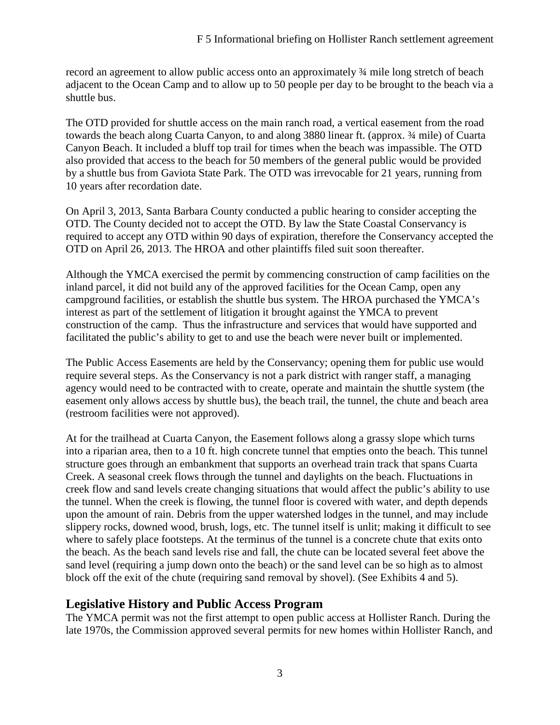record an agreement to allow public access onto an approximately ¾ mile long stretch of beach adjacent to the Ocean Camp and to allow up to 50 people per day to be brought to the beach via a shuttle bus.

The OTD provided for shuttle access on the main ranch road, a vertical easement from the road towards the beach along Cuarta Canyon, to and along 3880 linear ft. (approx. ¾ mile) of Cuarta Canyon Beach. It included a bluff top trail for times when the beach was impassible. The OTD also provided that access to the beach for 50 members of the general public would be provided by a shuttle bus from Gaviota State Park. The OTD was irrevocable for 21 years, running from 10 years after recordation date.

On April 3, 2013, Santa Barbara County conducted a public hearing to consider accepting the OTD. The County decided not to accept the OTD. By law the State Coastal Conservancy is required to accept any OTD within 90 days of expiration, therefore the Conservancy accepted the OTD on April 26, 2013. The HROA and other plaintiffs filed suit soon thereafter.

Although the YMCA exercised the permit by commencing construction of camp facilities on the inland parcel, it did not build any of the approved facilities for the Ocean Camp, open any campground facilities, or establish the shuttle bus system. The HROA purchased the YMCA's interest as part of the settlement of litigation it brought against the YMCA to prevent construction of the camp. Thus the infrastructure and services that would have supported and facilitated the public's ability to get to and use the beach were never built or implemented.

The Public Access Easements are held by the Conservancy; opening them for public use would require several steps. As the Conservancy is not a park district with ranger staff, a managing agency would need to be contracted with to create, operate and maintain the shuttle system (the easement only allows access by shuttle bus), the beach trail, the tunnel, the chute and beach area (restroom facilities were not approved).

At for the trailhead at Cuarta Canyon, the Easement follows along a grassy slope which turns into a riparian area, then to a 10 ft. high concrete tunnel that empties onto the beach. This tunnel structure goes through an embankment that supports an overhead train track that spans Cuarta Creek. A seasonal creek flows through the tunnel and daylights on the beach. Fluctuations in creek flow and sand levels create changing situations that would affect the public's ability to use the tunnel. When the creek is flowing, the tunnel floor is covered with water, and depth depends upon the amount of rain. Debris from the upper watershed lodges in the tunnel, and may include slippery rocks, downed wood, brush, logs, etc. The tunnel itself is unlit; making it difficult to see where to safely place footsteps. At the terminus of the tunnel is a concrete chute that exits onto the beach. As the beach sand levels rise and fall, the chute can be located several feet above the sand level (requiring a jump down onto the beach) or the sand level can be so high as to almost block off the exit of the chute (requiring sand removal by shovel). (See Exhibits 4 and 5).

#### **Legislative History and Public Access Program**

The YMCA permit was not the first attempt to open public access at Hollister Ranch. During the late 1970s, the Commission approved several permits for new homes within Hollister Ranch, and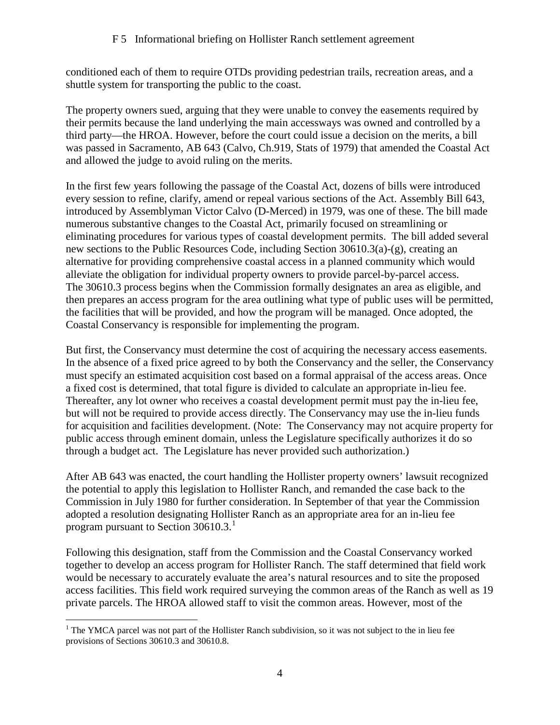#### F 5 Informational briefing on Hollister Ranch settlement agreement

conditioned each of them to require OTDs providing pedestrian trails, recreation areas, and a shuttle system for transporting the public to the coast.

The property owners sued, arguing that they were unable to convey the easements required by their permits because the land underlying the main accessways was owned and controlled by a third party—the HROA. However, before the court could issue a decision on the merits, a bill was passed in Sacramento, AB 643 (Calvo, Ch.919, Stats of 1979) that amended the Coastal Act and allowed the judge to avoid ruling on the merits.

In the first few years following the passage of the Coastal Act, dozens of bills were introduced every session to refine, clarify, amend or repeal various sections of the Act. Assembly Bill 643, introduced by Assemblyman Victor Calvo (D-Merced) in 1979, was one of these. The bill made numerous substantive changes to the Coastal Act, primarily focused on streamlining or eliminating procedures for various types of coastal development permits. The bill added several new sections to the Public Resources Code, including Section 30610.3(a)-(g), creating an alternative for providing comprehensive coastal access in a planned community which would alleviate the obligation for individual property owners to provide parcel-by-parcel access. The 30610.3 process begins when the Commission formally designates an area as eligible, and then prepares an access program for the area outlining what type of public uses will be permitted, the facilities that will be provided, and how the program will be managed. Once adopted, the Coastal Conservancy is responsible for implementing the program.

But first, the Conservancy must determine the cost of acquiring the necessary access easements. In the absence of a fixed price agreed to by both the Conservancy and the seller, the Conservancy must specify an estimated acquisition cost based on a formal appraisal of the access areas. Once a fixed cost is determined, that total figure is divided to calculate an appropriate in-lieu fee. Thereafter, any lot owner who receives a coastal development permit must pay the in-lieu fee, but will not be required to provide access directly. The Conservancy may use the in-lieu funds for acquisition and facilities development. (Note: The Conservancy may not acquire property for public access through eminent domain, unless the Legislature specifically authorizes it do so through a budget act. The Legislature has never provided such authorization.)

After AB 643 was enacted, the court handling the Hollister property owners' lawsuit recognized the potential to apply this legislation to Hollister Ranch, and remanded the case back to the Commission in July 1980 for further consideration. In September of that year the Commission adopted a resolution designating Hollister Ranch as an appropriate area for an in-lieu fee program pursuant to Section 306[1](#page-3-0)0.3.<sup>1</sup>

Following this designation, staff from the Commission and the Coastal Conservancy worked together to develop an access program for Hollister Ranch. The staff determined that field work would be necessary to accurately evaluate the area's natural resources and to site the proposed access facilities. This field work required surveying the common areas of the Ranch as well as 19 private parcels. The HROA allowed staff to visit the common areas. However, most of the

<span id="page-3-0"></span> $\overline{a}$ <sup>1</sup> The YMCA parcel was not part of the Hollister Ranch subdivision, so it was not subject to the in lieu fee provisions of Sections 30610.3 and 30610.8.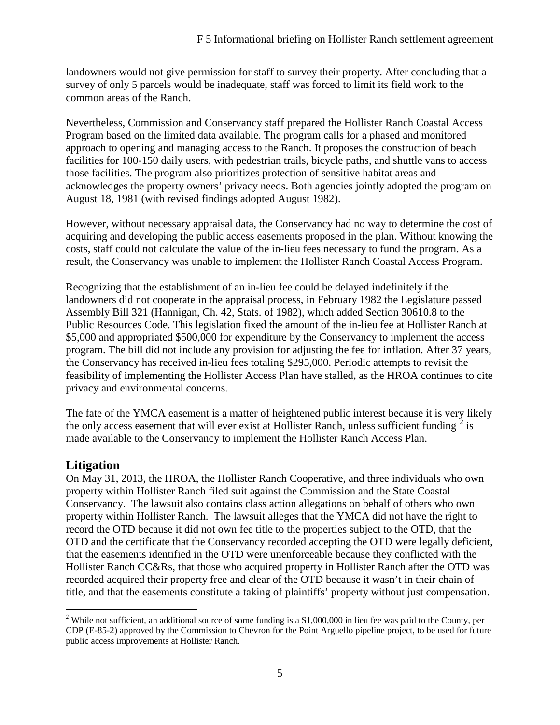landowners would not give permission for staff to survey their property. After concluding that a survey of only 5 parcels would be inadequate, staff was forced to limit its field work to the common areas of the Ranch.

Nevertheless, Commission and Conservancy staff prepared the Hollister Ranch Coastal Access Program based on the limited data available. The program calls for a phased and monitored approach to opening and managing access to the Ranch. It proposes the construction of beach facilities for 100-150 daily users, with pedestrian trails, bicycle paths, and shuttle vans to access those facilities. The program also prioritizes protection of sensitive habitat areas and acknowledges the property owners' privacy needs. Both agencies jointly adopted the program on August 18, 1981 (with revised findings adopted August 1982).

However, without necessary appraisal data, the Conservancy had no way to determine the cost of acquiring and developing the public access easements proposed in the plan. Without knowing the costs, staff could not calculate the value of the in-lieu fees necessary to fund the program. As a result, the Conservancy was unable to implement the Hollister Ranch Coastal Access Program.

Recognizing that the establishment of an in-lieu fee could be delayed indefinitely if the landowners did not cooperate in the appraisal process, in February 1982 the Legislature passed Assembly Bill 321 (Hannigan, Ch. 42, Stats. of 1982), which added Section 30610.8 to the Public Resources Code. This legislation fixed the amount of the in-lieu fee at Hollister Ranch at \$5,000 and appropriated \$500,000 for expenditure by the Conservancy to implement the access program. The bill did not include any provision for adjusting the fee for inflation. After 37 years, the Conservancy has received in-lieu fees totaling \$295,000. Periodic attempts to revisit the feasibility of implementing the Hollister Access Plan have stalled, as the HROA continues to cite privacy and environmental concerns.

The fate of the YMCA easement is a matter of heightened public interest because it is very likely the only access easement that will ever exist at Hollister Ranch, unless sufficient funding  $2$  is made available to the Conservancy to implement the Hollister Ranch Access Plan.

#### **Litigation**

On May 31, 2013, the HROA, the Hollister Ranch Cooperative, and three individuals who own property within Hollister Ranch filed suit against the Commission and the State Coastal Conservancy. The lawsuit also contains class action allegations on behalf of others who own property within Hollister Ranch. The lawsuit alleges that the YMCA did not have the right to record the OTD because it did not own fee title to the properties subject to the OTD, that the OTD and the certificate that the Conservancy recorded accepting the OTD were legally deficient, that the easements identified in the OTD were unenforceable because they conflicted with the Hollister Ranch CC&Rs, that those who acquired property in Hollister Ranch after the OTD was recorded acquired their property free and clear of the OTD because it wasn't in their chain of title, and that the easements constitute a taking of plaintiffs' property without just compensation.

<span id="page-4-0"></span> $\overline{a}$ <sup>2</sup> While not sufficient, an additional source of some funding is a \$1,000,000 in lieu fee was paid to the County, per CDP (E-85-2) approved by the Commission to Chevron for the Point Arguello pipeline project, to be used for future public access improvements at Hollister Ranch.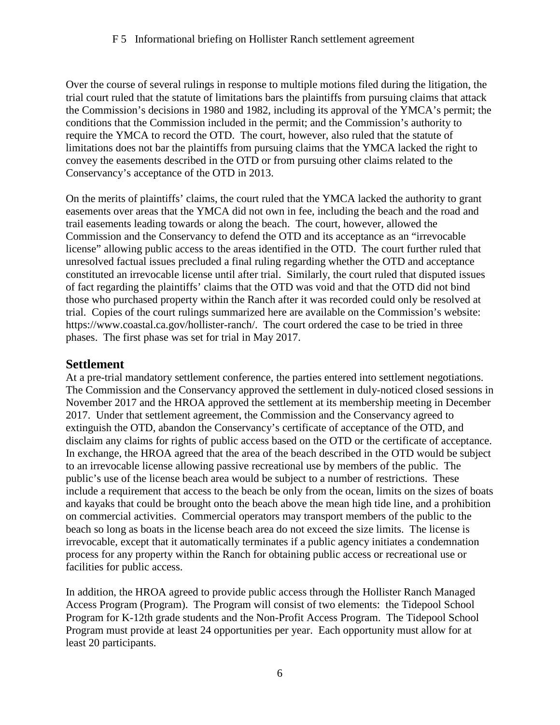Over the course of several rulings in response to multiple motions filed during the litigation, the trial court ruled that the statute of limitations bars the plaintiffs from pursuing claims that attack the Commission's decisions in 1980 and 1982, including its approval of the YMCA's permit; the conditions that the Commission included in the permit; and the Commission's authority to require the YMCA to record the OTD. The court, however, also ruled that the statute of limitations does not bar the plaintiffs from pursuing claims that the YMCA lacked the right to convey the easements described in the OTD or from pursuing other claims related to the Conservancy's acceptance of the OTD in 2013.

On the merits of plaintiffs' claims, the court ruled that the YMCA lacked the authority to grant easements over areas that the YMCA did not own in fee, including the beach and the road and trail easements leading towards or along the beach. The court, however, allowed the Commission and the Conservancy to defend the OTD and its acceptance as an "irrevocable license" allowing public access to the areas identified in the OTD. The court further ruled that unresolved factual issues precluded a final ruling regarding whether the OTD and acceptance constituted an irrevocable license until after trial. Similarly, the court ruled that disputed issues of fact regarding the plaintiffs' claims that the OTD was void and that the OTD did not bind those who purchased property within the Ranch after it was recorded could only be resolved at trial. Copies of the court rulings summarized here are available on the Commission's website: https://www.coastal.ca.gov/hollister-ranch/. The court ordered the case to be tried in three phases. The first phase was set for trial in May 2017.

#### **Settlement**

At a pre-trial mandatory settlement conference, the parties entered into settlement negotiations. The Commission and the Conservancy approved the settlement in duly-noticed closed sessions in November 2017 and the HROA approved the settlement at its membership meeting in December 2017. Under that settlement agreement, the Commission and the Conservancy agreed to extinguish the OTD, abandon the Conservancy's certificate of acceptance of the OTD, and disclaim any claims for rights of public access based on the OTD or the certificate of acceptance. In exchange, the HROA agreed that the area of the beach described in the OTD would be subject to an irrevocable license allowing passive recreational use by members of the public. The public's use of the license beach area would be subject to a number of restrictions. These include a requirement that access to the beach be only from the ocean, limits on the sizes of boats and kayaks that could be brought onto the beach above the mean high tide line, and a prohibition on commercial activities. Commercial operators may transport members of the public to the beach so long as boats in the license beach area do not exceed the size limits. The license is irrevocable, except that it automatically terminates if a public agency initiates a condemnation process for any property within the Ranch for obtaining public access or recreational use or facilities for public access.

In addition, the HROA agreed to provide public access through the Hollister Ranch Managed Access Program (Program). The Program will consist of two elements: the Tidepool School Program for K-12th grade students and the Non-Profit Access Program. The Tidepool School Program must provide at least 24 opportunities per year. Each opportunity must allow for at least 20 participants.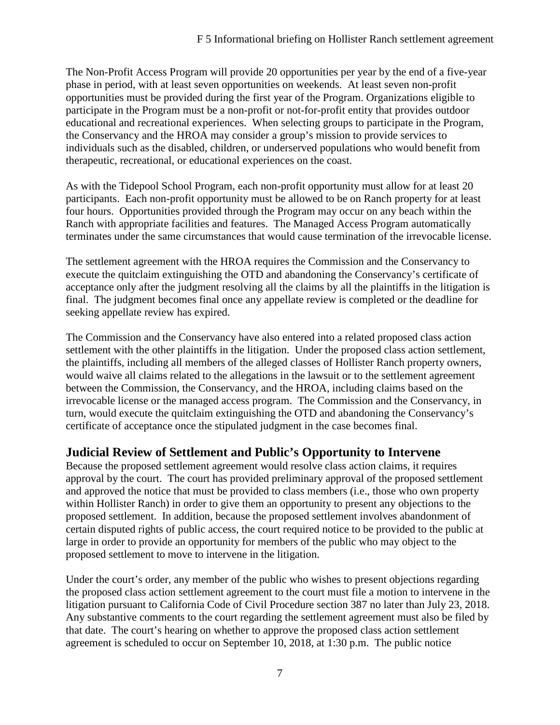The Non-Profit Access Program will provide 20 opportunities per year by the end of a five-year phase in period, with at least seven opportunities on weekends. At least seven non-profit opportunities must be provided during the first year of the Program. Organizations eligible to participate in the Program must be a non-profit or not-for-profit entity that provides outdoor educational and recreational experiences. When selecting groups to participate in the Program, the Conservancy and the HROA may consider a group's mission to provide services to individuals such as the disabled, children, or underserved populations who would benefit from therapeutic, recreational, or educational experiences on the coast.

As with the Tidepool School Program, each non-profit opportunity must allow for at least 20 participants. Each non-profit opportunity must be allowed to be on Ranch property for at least four hours. Opportunities provided through the Program may occur on any beach within the Ranch with appropriate facilities and features. The Managed Access Program automatically terminates under the same circumstances that would cause termination of the irrevocable license.

The settlement agreement with the HROA requires the Commission and the Conservancy to execute the quitclaim extinguishing the OTD and abandoning the Conservancy's certificate of acceptance only after the judgment resolving all the claims by all the plaintiffs in the litigation is final. The judgment becomes final once any appellate review is completed or the deadline for seeking appellate review has expired.

The Commission and the Conservancy have also entered into a related proposed class action settlement with the other plaintiffs in the litigation. Under the proposed class action settlement, the plaintiffs, including all members of the alleged classes of Hollister Ranch property owners, would waive all claims related to the allegations in the lawsuit or to the settlement agreement between the Commission, the Conservancy, and the HROA, including claims based on the irrevocable license or the managed access program. The Commission and the Conservancy, in turn, would execute the quitclaim extinguishing the OTD and abandoning the Conservancy's certificate of acceptance once the stipulated judgment in the case becomes final.

### **Judicial Review of Settlement and Public's Opportunity to Intervene**

Because the proposed settlement agreement would resolve class action claims, it requires approval by the court. The court has provided preliminary approval of the proposed settlement and approved the notice that must be provided to class members (i.e., those who own property within Hollister Ranch) in order to give them an opportunity to present any objections to the proposed settlement. In addition, because the proposed settlement involves abandonment of certain disputed rights of public access, the court required notice to be provided to the public at large in order to provide an opportunity for members of the public who may object to the proposed settlement to move to intervene in the litigation.

Under the court's order, any member of the public who wishes to present objections regarding the proposed class action settlement agreement to the court must file a motion to intervene in the litigation pursuant to California Code of Civil Procedure section 387 no later than July 23, 2018. Any substantive comments to the court regarding the settlement agreement must also be filed by that date. The court's hearing on whether to approve the proposed class action settlement agreement is scheduled to occur on September 10, 2018, at 1:30 p.m. The public notice